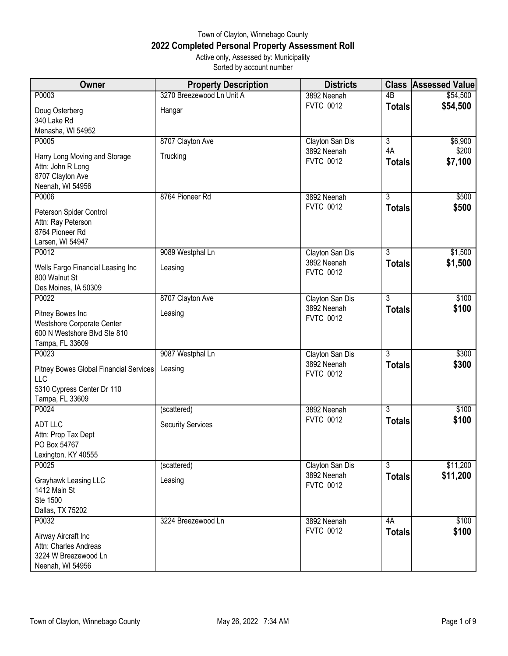## Town of Clayton, Winnebago County **2022 Completed Personal Property Assessment Roll** Active only, Assessed by: Municipality

Sorted by account number

| Owner                                          | <b>Property Description</b> | <b>Districts</b>                |                | <b>Class Assessed Value</b> |
|------------------------------------------------|-----------------------------|---------------------------------|----------------|-----------------------------|
| P0003                                          | 3270 Breezewood Ln Unit A   | 3892 Neenah                     | 4B             | \$54,500                    |
| Doug Osterberg                                 | Hangar                      | <b>FVTC 0012</b>                | <b>Totals</b>  | \$54,500                    |
| 340 Lake Rd                                    |                             |                                 |                |                             |
| Menasha, WI 54952<br>P0005                     | 8707 Clayton Ave            |                                 | $\overline{3}$ | \$6,900                     |
|                                                |                             | Clayton San Dis<br>3892 Neenah  | 4A             | \$200                       |
| Harry Long Moving and Storage                  | Trucking                    | <b>FVTC 0012</b>                | <b>Totals</b>  | \$7,100                     |
| Attn: John R Long<br>8707 Clayton Ave          |                             |                                 |                |                             |
| Neenah, WI 54956                               |                             |                                 |                |                             |
| P0006                                          | 8764 Pioneer Rd             | 3892 Neenah                     | $\overline{3}$ | \$500                       |
| Peterson Spider Control                        |                             | <b>FVTC 0012</b>                | <b>Totals</b>  | \$500                       |
| Attn: Ray Peterson                             |                             |                                 |                |                             |
| 8764 Pioneer Rd                                |                             |                                 |                |                             |
| Larsen, WI 54947                               |                             |                                 |                |                             |
| P0012                                          | 9089 Westphal Ln            | Clayton San Dis<br>3892 Neenah  | $\overline{3}$ | \$1,500<br>\$1,500          |
| Wells Fargo Financial Leasing Inc              | Leasing                     | <b>FVTC 0012</b>                | <b>Totals</b>  |                             |
| 800 Walnut St<br>Des Moines, IA 50309          |                             |                                 |                |                             |
| P0022                                          | 8707 Clayton Ave            | Clayton San Dis                 | $\overline{3}$ | \$100                       |
|                                                |                             | 3892 Neenah                     | <b>Totals</b>  | \$100                       |
| Pitney Bowes Inc<br>Westshore Corporate Center | Leasing                     | <b>FVTC 0012</b>                |                |                             |
| 600 N Westshore Blvd Ste 810                   |                             |                                 |                |                             |
| Tampa, FL 33609                                |                             |                                 |                |                             |
| P0023                                          | 9087 Westphal Ln            | Clayton San Dis                 | $\overline{3}$ | \$300                       |
| Pitney Bowes Global Financial Services         | Leasing                     | 3892 Neenah<br><b>FVTC 0012</b> | <b>Totals</b>  | \$300                       |
| <b>LLC</b>                                     |                             |                                 |                |                             |
| 5310 Cypress Center Dr 110                     |                             |                                 |                |                             |
| Tampa, FL 33609<br>P0024                       | (scattered)                 | 3892 Neenah                     | $\overline{3}$ | \$100                       |
|                                                |                             | <b>FVTC 0012</b>                | <b>Totals</b>  | \$100                       |
| <b>ADT LLC</b><br>Attn: Prop Tax Dept          | <b>Security Services</b>    |                                 |                |                             |
| PO Box 54767                                   |                             |                                 |                |                             |
| Lexington, KY 40555                            |                             |                                 |                |                             |
| P0025                                          | (scattered)                 | Clayton San Dis                 | $\overline{3}$ | \$11,200                    |
| Grayhawk Leasing LLC                           | Leasing                     | 3892 Neenah<br><b>FVTC 0012</b> | <b>Totals</b>  | \$11,200                    |
| 1412 Main St                                   |                             |                                 |                |                             |
| Ste 1500                                       |                             |                                 |                |                             |
| Dallas, TX 75202<br>P0032                      | 3224 Breezewood Ln          | 3892 Neenah                     | 4A             | \$100                       |
|                                                |                             | <b>FVTC 0012</b>                | <b>Totals</b>  | \$100                       |
| Airway Aircraft Inc<br>Attn: Charles Andreas   |                             |                                 |                |                             |
| 3224 W Breezewood Ln                           |                             |                                 |                |                             |
| Neenah, WI 54956                               |                             |                                 |                |                             |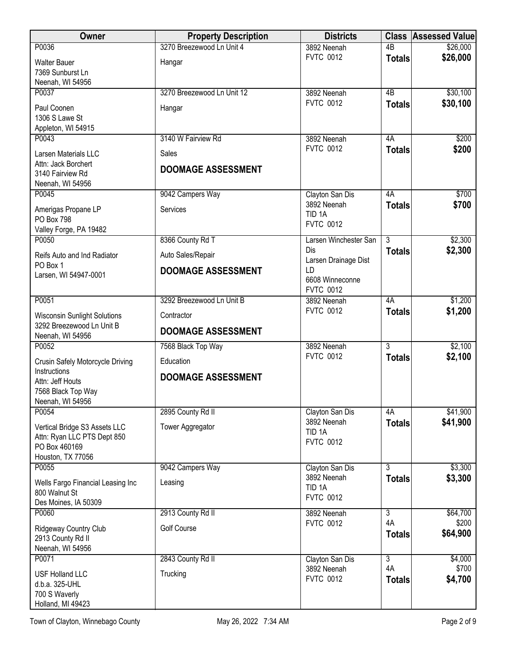| <b>Owner</b>                                                                                                   | <b>Property Description</b>                                          | <b>Districts</b>                                     |                     | <b>Class Assessed Value</b> |
|----------------------------------------------------------------------------------------------------------------|----------------------------------------------------------------------|------------------------------------------------------|---------------------|-----------------------------|
| P0036                                                                                                          | 3270 Breezewood Ln Unit 4                                            | 3892 Neenah                                          | 4B                  | \$26,000                    |
| <b>Walter Bauer</b><br>7369 Sunburst Ln<br>Neenah, WI 54956                                                    | Hangar                                                               | <b>FVTC 0012</b>                                     | <b>Totals</b>       | \$26,000                    |
| P0037                                                                                                          | 3270 Breezewood Ln Unit 12                                           | 3892 Neenah                                          | $\overline{AB}$     | \$30,100                    |
| Paul Coonen<br>1306 S Lawe St<br>Appleton, WI 54915                                                            | Hangar                                                               | <b>FVTC 0012</b>                                     | <b>Totals</b>       | \$30,100                    |
| P0043                                                                                                          | 3140 W Fairview Rd                                                   | 3892 Neenah                                          | 4A                  | \$200                       |
| Larsen Materials LLC<br>Attn: Jack Borchert<br>3140 Fairview Rd<br>Neenah, WI 54956                            | Sales<br><b>DOOMAGE ASSESSMENT</b>                                   | <b>FVTC 0012</b>                                     | <b>Totals</b>       | \$200                       |
| P0045                                                                                                          | 9042 Campers Way                                                     | Clayton San Dis                                      | 4A                  | \$700                       |
| Amerigas Propane LP<br><b>PO Box 798</b><br>Valley Forge, PA 19482                                             | Services                                                             | 3892 Neenah<br>TID <sub>1A</sub><br><b>FVTC 0012</b> | <b>Totals</b>       | \$700                       |
| P0050                                                                                                          | 8366 County Rd T                                                     | Larsen Winchester San                                | $\overline{3}$      | \$2,300                     |
| Reifs Auto and Ind Radiator<br>PO Box 1<br>Larsen, WI 54947-0001                                               | Auto Sales/Repair<br><b>DOOMAGE ASSESSMENT</b>                       | Dis<br>Larsen Drainage Dist<br>LD<br>6608 Winneconne | <b>Totals</b>       | \$2,300                     |
| P0051                                                                                                          |                                                                      | <b>FVTC 0012</b>                                     | 4A                  |                             |
| <b>Wisconsin Sunlight Solutions</b><br>3292 Breezewood Ln Unit B<br>Neenah, WI 54956                           | 3292 Breezewood Ln Unit B<br>Contractor<br><b>DOOMAGE ASSESSMENT</b> | 3892 Neenah<br><b>FVTC 0012</b>                      | <b>Totals</b>       | \$1,200<br>\$1,200          |
| P0052                                                                                                          | 7568 Black Top Way                                                   | 3892 Neenah                                          | $\overline{3}$      | \$2,100                     |
| Crusin Safely Motorcycle Driving<br>Instructions<br>Attn: Jeff Houts<br>7568 Black Top Way<br>Neenah, WI 54956 | Education<br><b>DOOMAGE ASSESSMENT</b>                               | <b>FVTC 0012</b>                                     | <b>Totals</b>       | \$2,100                     |
| P0054                                                                                                          | 2895 County Rd II                                                    | Clayton San Dis                                      | 4A                  | \$41,900                    |
| Vertical Bridge S3 Assets LLC<br>Attn: Ryan LLC PTS Dept 850<br>PO Box 460169<br>Houston, TX 77056             | Tower Aggregator                                                     | 3892 Neenah<br>TID <sub>1A</sub><br><b>FVTC 0012</b> | <b>Totals</b>       | \$41,900                    |
| P0055                                                                                                          | 9042 Campers Way                                                     | Clayton San Dis                                      | $\overline{3}$      | \$3,300                     |
| Wells Fargo Financial Leasing Inc<br>800 Walnut St<br>Des Moines, IA 50309                                     | Leasing                                                              | 3892 Neenah<br>TID <sub>1A</sub><br><b>FVTC 0012</b> | <b>Totals</b>       | \$3,300                     |
| P0060                                                                                                          | 2913 County Rd II                                                    | 3892 Neenah                                          | $\overline{3}$      | \$64,700                    |
| Ridgeway Country Club<br>2913 County Rd II<br>Neenah, WI 54956                                                 | Golf Course                                                          | <b>FVTC 0012</b>                                     | 4A<br><b>Totals</b> | \$200<br>\$64,900           |
| P0071                                                                                                          | 2843 County Rd II                                                    | Clayton San Dis                                      | $\overline{3}$      | \$4,000                     |
| <b>USF Holland LLC</b><br>d.b.a. 325-UHL<br>700 S Waverly<br>Holland, MI 49423                                 | Trucking                                                             | 3892 Neenah<br><b>FVTC 0012</b>                      | 4A<br><b>Totals</b> | \$700<br>\$4,700            |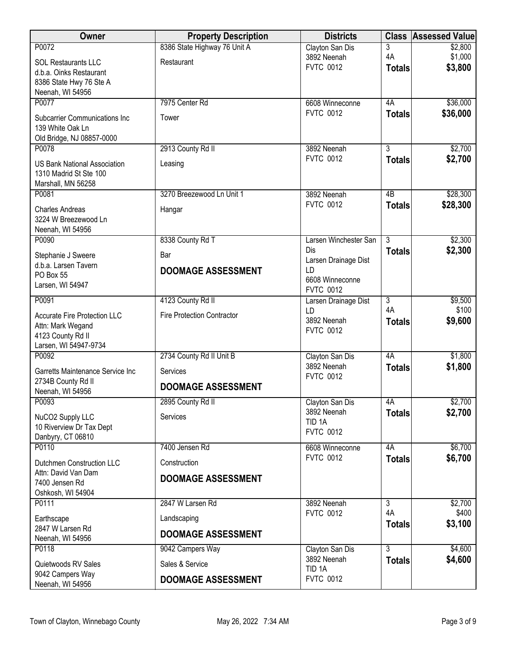| Owner                                                         | <b>Property Description</b>       | <b>Districts</b>                    |                     | <b>Class Assessed Value</b> |
|---------------------------------------------------------------|-----------------------------------|-------------------------------------|---------------------|-----------------------------|
| P0072                                                         | 8386 State Highway 76 Unit A      | Clayton San Dis                     | 3                   | \$2,800                     |
| <b>SOL Restaurants LLC</b>                                    | Restaurant                        | 3892 Neenah<br><b>FVTC 0012</b>     | 4A<br><b>Totals</b> | \$1,000<br>\$3,800          |
| d.b.a. Oinks Restaurant<br>8386 State Hwy 76 Ste A            |                                   |                                     |                     |                             |
| Neenah, WI 54956                                              |                                   |                                     |                     |                             |
| P0077                                                         | 7975 Center Rd                    | 6608 Winneconne                     | 4A                  | \$36,000                    |
| <b>Subcarrier Communications Inc</b>                          | Tower                             | <b>FVTC 0012</b>                    | <b>Totals</b>       | \$36,000                    |
| 139 White Oak Ln                                              |                                   |                                     |                     |                             |
| Old Bridge, NJ 08857-0000<br>P0078                            | 2913 County Rd II                 | 3892 Neenah                         | $\overline{3}$      | \$2,700                     |
|                                                               |                                   | <b>FVTC 0012</b>                    | <b>Totals</b>       | \$2,700                     |
| <b>US Bank National Association</b><br>1310 Madrid St Ste 100 | Leasing                           |                                     |                     |                             |
| Marshall, MN 56258                                            |                                   |                                     |                     |                             |
| P0081                                                         | 3270 Breezewood Ln Unit 1         | 3892 Neenah                         | $\overline{AB}$     | \$28,300                    |
| <b>Charles Andreas</b>                                        | Hangar                            | <b>FVTC 0012</b>                    | <b>Totals</b>       | \$28,300                    |
| 3224 W Breezewood Ln                                          |                                   |                                     |                     |                             |
| Neenah, WI 54956<br>P0090                                     | 8338 County Rd T                  | Larsen Winchester San               | $\overline{3}$      | \$2,300                     |
| Stephanie J Sweere                                            | Bar                               | Dis                                 | <b>Totals</b>       | \$2,300                     |
| d.b.a. Larsen Tavern                                          |                                   | Larsen Drainage Dist                |                     |                             |
| PO Box 55                                                     | <b>DOOMAGE ASSESSMENT</b>         | LD<br>6608 Winneconne               |                     |                             |
| Larsen, WI 54947                                              |                                   | <b>FVTC 0012</b>                    |                     |                             |
| P0091                                                         | 4123 County Rd II                 | Larsen Drainage Dist                | $\overline{3}$      | \$9,500                     |
| <b>Accurate Fire Protection LLC</b>                           | <b>Fire Protection Contractor</b> | LD<br>3892 Neenah                   | 4A<br><b>Totals</b> | \$100<br>\$9,600            |
| Attn: Mark Wegand                                             |                                   | <b>FVTC 0012</b>                    |                     |                             |
| 4123 County Rd II<br>Larsen, WI 54947-9734                    |                                   |                                     |                     |                             |
| P0092                                                         | 2734 County Rd II Unit B          | Clayton San Dis                     | 4A                  | \$1,800                     |
| Garretts Maintenance Service Inc                              | Services                          | 3892 Neenah<br><b>FVTC 0012</b>     | <b>Totals</b>       | \$1,800                     |
| 2734B County Rd II                                            | <b>DOOMAGE ASSESSMENT</b>         |                                     |                     |                             |
| Neenah, WI 54956<br>P0093                                     | 2895 County Rd II                 | Clayton San Dis                     | 4A                  | \$2,700                     |
| NuCO2 Supply LLC                                              | Services                          | 3892 Neenah                         | <b>Totals</b>       | \$2,700                     |
| 10 Riverview Dr Tax Dept                                      |                                   | TID <sub>1A</sub>                   |                     |                             |
| Danbyry, CT 06810                                             |                                   | <b>FVTC 0012</b>                    |                     |                             |
| P0110                                                         | 7400 Jensen Rd                    | 6608 Winneconne<br><b>FVTC 0012</b> | 4A                  | \$6,700<br>\$6,700          |
| Dutchmen Construction LLC                                     | Construction                      |                                     | <b>Totals</b>       |                             |
| Attn: David Van Dam<br>7400 Jensen Rd                         | <b>DOOMAGE ASSESSMENT</b>         |                                     |                     |                             |
| Oshkosh, WI 54904                                             |                                   |                                     |                     |                             |
| P0111                                                         | 2847 W Larsen Rd                  | 3892 Neenah                         | $\overline{3}$      | \$2,700                     |
| Earthscape                                                    | Landscaping                       | <b>FVTC 0012</b>                    | 4A<br><b>Totals</b> | \$400<br>\$3,100            |
| 2847 W Larsen Rd<br>Neenah, WI 54956                          | <b>DOOMAGE ASSESSMENT</b>         |                                     |                     |                             |
| P0118                                                         | 9042 Campers Way                  | Clayton San Dis                     | $\overline{3}$      | \$4,600                     |
| Quietwoods RV Sales                                           | Sales & Service                   | 3892 Neenah                         | <b>Totals</b>       | \$4,600                     |
| 9042 Campers Way                                              |                                   | TID <sub>1A</sub>                   |                     |                             |
| Neenah, WI 54956                                              | <b>DOOMAGE ASSESSMENT</b>         | <b>FVTC 0012</b>                    |                     |                             |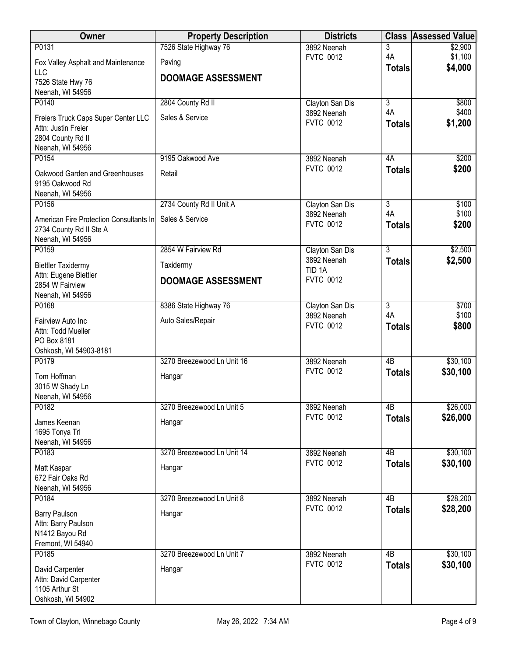| <b>Owner</b>                             | <b>Property Description</b> | <b>Districts</b>                | <b>Class</b>        | <b>Assessed Value</b> |
|------------------------------------------|-----------------------------|---------------------------------|---------------------|-----------------------|
| P0131                                    | 7526 State Highway 76       | 3892 Neenah                     | 3                   | \$2,900               |
| Fox Valley Asphalt and Maintenance       | Paving                      | <b>FVTC 0012</b>                | 4A<br><b>Totals</b> | \$1,100<br>\$4,000    |
| LLC                                      | <b>DOOMAGE ASSESSMENT</b>   |                                 |                     |                       |
| 7526 State Hwy 76<br>Neenah, WI 54956    |                             |                                 |                     |                       |
| P0140                                    | 2804 County Rd II           | Clayton San Dis                 | $\overline{3}$      | \$800                 |
| Freiers Truck Caps Super Center LLC      | Sales & Service             | 3892 Neenah                     | 4A                  | \$400                 |
| Attn: Justin Freier                      |                             | <b>FVTC 0012</b>                | <b>Totals</b>       | \$1,200               |
| 2804 County Rd II                        |                             |                                 |                     |                       |
| Neenah, WI 54956                         |                             |                                 |                     |                       |
| P0154                                    | 9195 Oakwood Ave            | 3892 Neenah<br><b>FVTC 0012</b> | 4A<br><b>Totals</b> | \$200<br>\$200        |
| Oakwood Garden and Greenhouses           | Retail                      |                                 |                     |                       |
| 9195 Oakwood Rd<br>Neenah, WI 54956      |                             |                                 |                     |                       |
| P0156                                    | 2734 County Rd II Unit A    | Clayton San Dis                 | $\overline{3}$      | \$100                 |
| American Fire Protection Consultants In  | Sales & Service             | 3892 Neenah                     | 4A                  | \$100                 |
| 2734 County Rd II Ste A                  |                             | <b>FVTC 0012</b>                | <b>Totals</b>       | \$200                 |
| Neenah, WI 54956                         |                             |                                 |                     |                       |
| P0159                                    | 2854 W Fairview Rd          | Clayton San Dis<br>3892 Neenah  | $\overline{3}$      | \$2,500               |
| <b>Biettler Taxidermy</b>                | Taxidermy                   | TID <sub>1A</sub>               | <b>Totals</b>       | \$2,500               |
| Attn: Eugene Biettler<br>2854 W Fairview | <b>DOOMAGE ASSESSMENT</b>   | <b>FVTC 0012</b>                |                     |                       |
| Neenah, WI 54956                         |                             |                                 |                     |                       |
| P0168                                    | 8386 State Highway 76       | Clayton San Dis                 | $\overline{3}$      | \$700                 |
| Fairview Auto Inc                        | Auto Sales/Repair           | 3892 Neenah                     | 4A                  | \$100                 |
| Attn: Todd Mueller                       |                             | <b>FVTC 0012</b>                | <b>Totals</b>       | \$800                 |
| PO Box 8181                              |                             |                                 |                     |                       |
| Oshkosh, WI 54903-8181<br>P0179          | 3270 Breezewood Ln Unit 16  | 3892 Neenah                     | $\overline{AB}$     | \$30,100              |
| Tom Hoffman                              |                             | <b>FVTC 0012</b>                | <b>Totals</b>       | \$30,100              |
| 3015 W Shady Ln                          | Hangar                      |                                 |                     |                       |
| Neenah, WI 54956                         |                             |                                 |                     |                       |
| P0182                                    | 3270 Breezewood Ln Unit 5   | 3892 Neenah                     | 4B                  | \$26,000              |
| James Keenan                             | Hangar                      | <b>FVTC 0012</b>                | <b>Totals</b>       | \$26,000              |
| 1695 Tonya Trl                           |                             |                                 |                     |                       |
| Neenah, WI 54956<br>P0183                | 3270 Breezewood Ln Unit 14  | 3892 Neenah                     | 4B                  | \$30,100              |
|                                          |                             | <b>FVTC 0012</b>                | <b>Totals</b>       | \$30,100              |
| Matt Kaspar<br>672 Fair Oaks Rd          | Hangar                      |                                 |                     |                       |
| Neenah, WI 54956                         |                             |                                 |                     |                       |
| P0184                                    | 3270 Breezewood Ln Unit 8   | 3892 Neenah                     | 4B                  | \$28,200              |
| <b>Barry Paulson</b>                     | Hangar                      | <b>FVTC 0012</b>                | <b>Totals</b>       | \$28,200              |
| Attn: Barry Paulson                      |                             |                                 |                     |                       |
| N1412 Bayou Rd<br>Fremont, WI 54940      |                             |                                 |                     |                       |
| P0185                                    | 3270 Breezewood Ln Unit 7   | 3892 Neenah                     | $\overline{AB}$     | \$30,100              |
| David Carpenter                          | Hangar                      | <b>FVTC 0012</b>                | <b>Totals</b>       | \$30,100              |
| Attn: David Carpenter                    |                             |                                 |                     |                       |
| 1105 Arthur St                           |                             |                                 |                     |                       |
| Oshkosh, WI 54902                        |                             |                                 |                     |                       |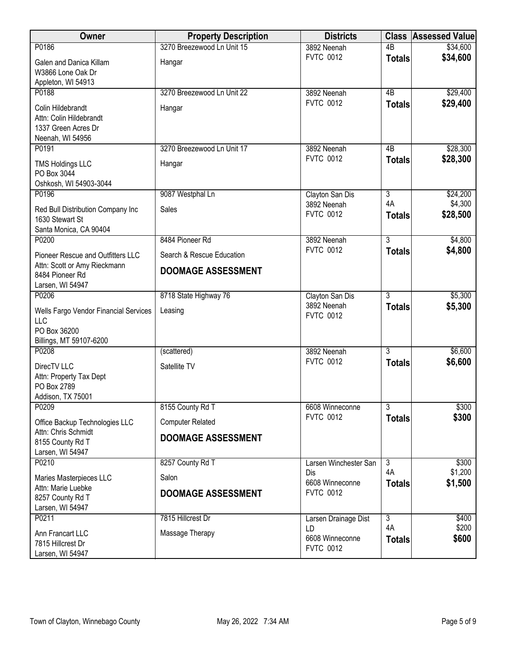| Owner                                                                                          | <b>Property Description</b> | <b>Districts</b>                          |                     | <b>Class Assessed Value</b> |
|------------------------------------------------------------------------------------------------|-----------------------------|-------------------------------------------|---------------------|-----------------------------|
| P0186                                                                                          | 3270 Breezewood Ln Unit 15  | 3892 Neenah                               | $\overline{AB}$     | \$34,600                    |
| Galen and Danica Killam<br>W3866 Lone Oak Dr                                                   | Hangar                      | <b>FVTC 0012</b>                          | <b>Totals</b>       | \$34,600                    |
| Appleton, WI 54913<br>P0188                                                                    | 3270 Breezewood Ln Unit 22  | 3892 Neenah                               | 4B                  | \$29,400                    |
| Colin Hildebrandt<br>Attn: Colin Hildebrandt<br>1337 Green Acres Dr<br>Neenah, WI 54956        | Hangar                      | <b>FVTC 0012</b>                          | <b>Totals</b>       | \$29,400                    |
| P0191                                                                                          | 3270 Breezewood Ln Unit 17  | 3892 Neenah                               | 4B                  | \$28,300                    |
| <b>TMS Holdings LLC</b><br>PO Box 3044<br>Oshkosh, WI 54903-3044                               | Hangar                      | <b>FVTC 0012</b>                          | <b>Totals</b>       | \$28,300                    |
| P0196                                                                                          | 9087 Westphal Ln            | Clayton San Dis                           | $\overline{3}$      | \$24,200                    |
| Red Bull Distribution Company Inc<br>1630 Stewart St<br>Santa Monica, CA 90404                 | Sales                       | 3892 Neenah<br><b>FVTC 0012</b>           | 4A<br><b>Totals</b> | \$4,300<br>\$28,500         |
| P0200                                                                                          | 8484 Pioneer Rd             | 3892 Neenah                               | $\overline{3}$      | \$4,800                     |
| Pioneer Rescue and Outfitters LLC                                                              | Search & Rescue Education   | <b>FVTC 0012</b>                          | <b>Totals</b>       | \$4,800                     |
| Attn: Scott or Amy Rieckmann<br>8484 Pioneer Rd<br>Larsen, WI 54947                            | <b>DOOMAGE ASSESSMENT</b>   |                                           |                     |                             |
| P0206                                                                                          | 8718 State Highway 76       | Clayton San Dis                           | $\overline{3}$      | \$5,300                     |
| Wells Fargo Vendor Financial Services<br><b>LLC</b><br>PO Box 36200<br>Billings, MT 59107-6200 | Leasing                     | 3892 Neenah<br><b>FVTC 0012</b>           | <b>Totals</b>       | \$5,300                     |
| P0208                                                                                          | (scattered)                 | 3892 Neenah                               | $\overline{3}$      | \$6,600                     |
| DirecTV LLC<br>Attn: Property Tax Dept<br>PO Box 2789<br>Addison, TX 75001                     | Satellite TV                | <b>FVTC 0012</b>                          | <b>Totals</b>       | \$6,600                     |
| P0209                                                                                          | 8155 County Rd T            | 6608 Winneconne                           | $\overline{3}$      | \$300                       |
| Office Backup Technologies LLC                                                                 | <b>Computer Related</b>     | <b>FVTC 0012</b>                          | <b>Totals</b>       | \$300                       |
| Attn: Chris Schmidt<br>8155 County Rd T<br>Larsen, WI 54947                                    | <b>DOOMAGE ASSESSMENT</b>   |                                           |                     |                             |
| P0210                                                                                          | 8257 County Rd T            | Larsen Winchester San                     | $\overline{3}$      | \$300                       |
| Maries Masterpieces LLC                                                                        | Salon                       | Dis<br>6608 Winneconne                    | 4A<br><b>Totals</b> | \$1,200<br>\$1,500          |
| Attn: Marie Luebke<br>8257 County Rd T<br>Larsen, WI 54947                                     | <b>DOOMAGE ASSESSMENT</b>   | <b>FVTC 0012</b>                          |                     |                             |
| P0211                                                                                          | 7815 Hillcrest Dr           | Larsen Drainage Dist                      | $\overline{3}$      | \$400                       |
| Ann Francart LLC<br>7815 Hillcrest Dr<br>Larsen, WI 54947                                      | Massage Therapy             | LD<br>6608 Winneconne<br><b>FVTC 0012</b> | 4A<br><b>Totals</b> | \$200<br>\$600              |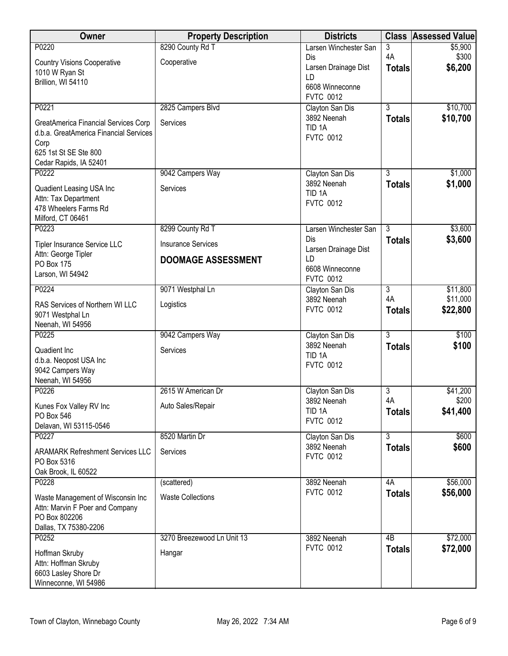| <b>Owner</b>                                                         | <b>Property Description</b> | <b>Districts</b>                      | <b>Class</b>        | <b>Assessed Value</b> |
|----------------------------------------------------------------------|-----------------------------|---------------------------------------|---------------------|-----------------------|
| P0220                                                                | 8290 County Rd T            | Larsen Winchester San                 | 3                   | \$5,900               |
| <b>Country Visions Cooperative</b>                                   | Cooperative                 | Dis<br>Larsen Drainage Dist           | 4A<br><b>Totals</b> | \$300<br>\$6,200      |
| 1010 W Ryan St                                                       |                             | LD                                    |                     |                       |
| Brillion, WI 54110                                                   |                             | 6608 Winneconne                       |                     |                       |
|                                                                      |                             | <b>FVTC 0012</b>                      |                     |                       |
| P0221                                                                | 2825 Campers Blvd           | Clayton San Dis<br>3892 Neenah        | $\overline{3}$      | \$10,700              |
| GreatAmerica Financial Services Corp                                 | Services                    | TID <sub>1A</sub>                     | <b>Totals</b>       | \$10,700              |
| d.b.a. GreatAmerica Financial Services                               |                             | <b>FVTC 0012</b>                      |                     |                       |
| Corp<br>625 1st St SE Ste 800                                        |                             |                                       |                     |                       |
| Cedar Rapids, IA 52401                                               |                             |                                       |                     |                       |
| P0222                                                                | 9042 Campers Way            | Clayton San Dis                       | $\overline{3}$      | \$1,000               |
| Quadient Leasing USA Inc                                             | Services                    | 3892 Neenah                           | <b>Totals</b>       | \$1,000               |
| Attn: Tax Department                                                 |                             | TID <sub>1A</sub><br><b>FVTC 0012</b> |                     |                       |
| 478 Wheelers Farms Rd                                                |                             |                                       |                     |                       |
| Milford, CT 06461<br>P0223                                           | 8299 County Rd T            | Larsen Winchester San                 | $\overline{3}$      | \$3,600               |
|                                                                      |                             | Dis                                   | <b>Totals</b>       | \$3,600               |
| Tipler Insurance Service LLC<br>Attn: George Tipler                  | <b>Insurance Services</b>   | Larsen Drainage Dist                  |                     |                       |
| <b>PO Box 175</b>                                                    | <b>DOOMAGE ASSESSMENT</b>   | LD<br>6608 Winneconne                 |                     |                       |
| Larson, WI 54942                                                     |                             | <b>FVTC 0012</b>                      |                     |                       |
| P0224                                                                | 9071 Westphal Ln            | Clayton San Dis                       | 3                   | \$11,800              |
| RAS Services of Northern WI LLC                                      | Logistics                   | 3892 Neenah                           | 4A                  | \$11,000              |
| 9071 Westphal Ln                                                     |                             | <b>FVTC 0012</b>                      | <b>Totals</b>       | \$22,800              |
| Neenah, WI 54956                                                     |                             |                                       |                     |                       |
| P0225                                                                | 9042 Campers Way            | Clayton San Dis<br>3892 Neenah        | $\overline{3}$      | \$100<br>\$100        |
| Quadient Inc                                                         | Services                    | TID <sub>1A</sub>                     | <b>Totals</b>       |                       |
| d.b.a. Neopost USA Inc<br>9042 Campers Way                           |                             | <b>FVTC 0012</b>                      |                     |                       |
| Neenah, WI 54956                                                     |                             |                                       |                     |                       |
| P0226                                                                | 2615 W American Dr          | Clayton San Dis                       | 3                   | \$41,200              |
| Kunes Fox Valley RV Inc                                              | Auto Sales/Repair           | 3892 Neenah                           | 4A                  | \$200                 |
| PO Box 546                                                           |                             | TID <sub>1A</sub><br><b>FVTC 0012</b> | <b>Totals</b>       | \$41,400              |
| Delavan, WI 53115-0546                                               |                             |                                       |                     |                       |
| P0227                                                                | 8520 Martin Dr              | Clayton San Dis<br>3892 Neenah        | $\overline{3}$      | \$600                 |
| <b>ARAMARK Refreshment Services LLC</b>                              | Services                    | <b>FVTC 0012</b>                      | <b>Totals</b>       | \$600                 |
| PO Box 5316                                                          |                             |                                       |                     |                       |
| Oak Brook, IL 60522<br>P0228                                         | (scattered)                 | 3892 Neenah                           | 4A                  | \$56,000              |
|                                                                      | <b>Waste Collections</b>    | <b>FVTC 0012</b>                      | <b>Totals</b>       | \$56,000              |
| Waste Management of Wisconsin Inc<br>Attn: Marvin F Poer and Company |                             |                                       |                     |                       |
| PO Box 802206                                                        |                             |                                       |                     |                       |
| Dallas, TX 75380-2206                                                |                             |                                       |                     |                       |
| P0252                                                                | 3270 Breezewood Ln Unit 13  | 3892 Neenah                           | $\overline{AB}$     | \$72,000              |
| Hoffman Skruby                                                       | Hangar                      | <b>FVTC 0012</b>                      | <b>Totals</b>       | \$72,000              |
| Attn: Hoffman Skruby<br>6603 Lasley Shore Dr                         |                             |                                       |                     |                       |
| Winneconne, WI 54986                                                 |                             |                                       |                     |                       |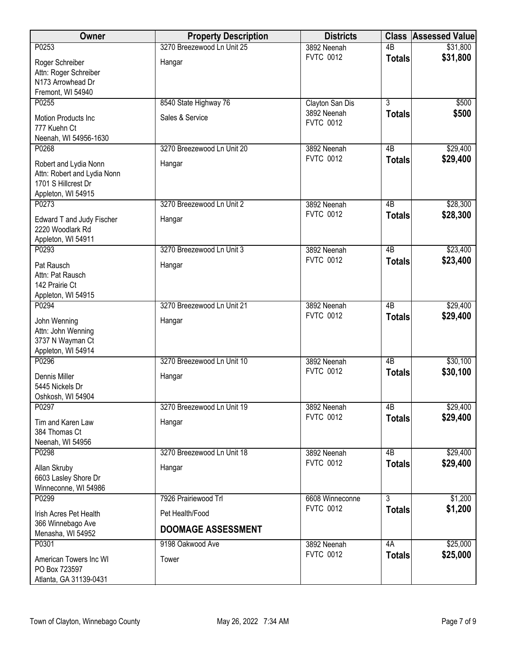| Owner                                                                                             | <b>Property Description</b>                  | <b>Districts</b>                | <b>Class</b>    | <b>Assessed Value</b> |
|---------------------------------------------------------------------------------------------------|----------------------------------------------|---------------------------------|-----------------|-----------------------|
| P0253                                                                                             | 3270 Breezewood Ln Unit 25                   | 3892 Neenah                     | 4B              | \$31,800              |
| Roger Schreiber<br>Attn: Roger Schreiber<br>N173 Arrowhead Dr<br>Fremont, WI 54940                | Hangar                                       | <b>FVTC 0012</b>                | <b>Totals</b>   | \$31,800              |
| P0255                                                                                             | 8540 State Highway 76                        | Clayton San Dis                 | $\overline{3}$  | \$500                 |
| Motion Products Inc<br>777 Kuehn Ct<br>Neenah, WI 54956-1630                                      | Sales & Service                              | 3892 Neenah<br><b>FVTC 0012</b> | <b>Totals</b>   | \$500                 |
| P0268                                                                                             | 3270 Breezewood Ln Unit 20                   | 3892 Neenah<br><b>FVTC 0012</b> | 4B              | \$29,400              |
| Robert and Lydia Nonn<br>Attn: Robert and Lydia Nonn<br>1701 S Hillcrest Dr<br>Appleton, WI 54915 | Hangar                                       |                                 | <b>Totals</b>   | \$29,400              |
| P0273                                                                                             | 3270 Breezewood Ln Unit 2                    | 3892 Neenah                     | 4B              | \$28,300              |
| Edward T and Judy Fischer<br>2220 Woodlark Rd<br>Appleton, WI 54911                               | Hangar                                       | <b>FVTC 0012</b>                | <b>Totals</b>   | \$28,300              |
| P0293                                                                                             | 3270 Breezewood Ln Unit 3                    | 3892 Neenah                     | $\overline{AB}$ | \$23,400              |
| Pat Rausch<br>Attn: Pat Rausch<br>142 Prairie Ct<br>Appleton, WI 54915                            | Hangar                                       | <b>FVTC 0012</b>                | <b>Totals</b>   | \$23,400              |
| P0294                                                                                             | 3270 Breezewood Ln Unit 21                   | 3892 Neenah                     | 4B              | \$29,400              |
| John Wenning<br>Attn: John Wenning<br>3737 N Wayman Ct<br>Appleton, WI 54914                      | Hangar                                       | <b>FVTC 0012</b>                | <b>Totals</b>   | \$29,400              |
| P0296                                                                                             | 3270 Breezewood Ln Unit 10                   | 3892 Neenah                     | 4B              | \$30,100              |
| Dennis Miller<br>5445 Nickels Dr<br>Oshkosh, WI 54904                                             | Hangar                                       | <b>FVTC 0012</b>                | <b>Totals</b>   | \$30,100              |
| P0297                                                                                             | 3270 Breezewood Ln Unit 19                   | 3892 Neenah                     | 4B              | \$29,400              |
| Tim and Karen Law<br>384 Thomas Ct<br>Neenah, WI 54956                                            | Hangar                                       | <b>FVTC 0012</b>                | <b>Totals</b>   | \$29,400              |
| P0298                                                                                             | 3270 Breezewood Ln Unit 18                   | 3892 Neenah                     | 4B              | \$29,400              |
| Allan Skruby<br>6603 Lasley Shore Dr<br>Winneconne, WI 54986                                      | Hangar                                       | <b>FVTC 0012</b>                | <b>Totals</b>   | \$29,400              |
| P0299                                                                                             | 7926 Prairiewood Trl                         | 6608 Winneconne                 | $\overline{3}$  | \$1,200               |
| Irish Acres Pet Health<br>366 Winnebago Ave<br>Menasha, WI 54952                                  | Pet Health/Food<br><b>DOOMAGE ASSESSMENT</b> | <b>FVTC 0012</b>                | <b>Totals</b>   | \$1,200               |
| P0301                                                                                             | 9198 Oakwood Ave                             | 3892 Neenah                     | 4A              | \$25,000              |
| American Towers Inc WI<br>PO Box 723597<br>Atlanta, GA 31139-0431                                 | Tower                                        | <b>FVTC 0012</b>                | <b>Totals</b>   | \$25,000              |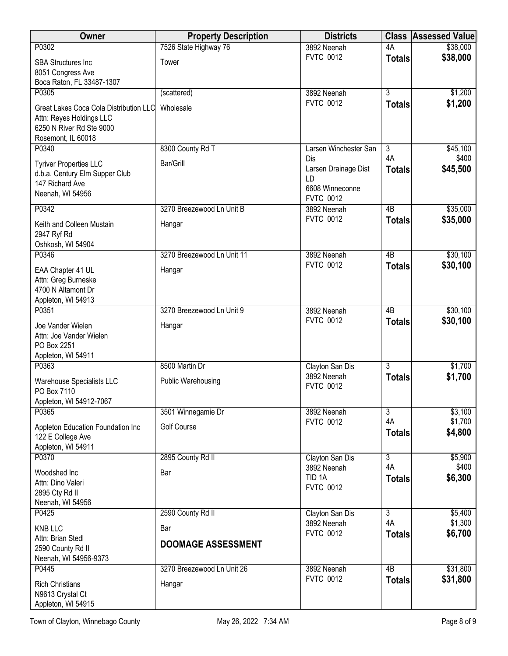| Owner                                                                                                                | <b>Property Description</b>      | <b>Districts</b>                                                         | <b>Class</b>        | <b>Assessed Value</b> |
|----------------------------------------------------------------------------------------------------------------------|----------------------------------|--------------------------------------------------------------------------|---------------------|-----------------------|
| P0302                                                                                                                | 7526 State Highway 76            | 3892 Neenah                                                              | 4A                  | \$38,000              |
| <b>SBA Structures Inc</b><br>8051 Congress Ave<br>Boca Raton, FL 33487-1307                                          | Tower                            | <b>FVTC 0012</b>                                                         | <b>Totals</b>       | \$38,000              |
| P0305                                                                                                                | (scattered)                      | 3892 Neenah                                                              | $\overline{3}$      | \$1,200               |
| Great Lakes Coca Cola Distribution LLC<br>Attn: Reyes Holdings LLC<br>6250 N River Rd Ste 9000<br>Rosemont, IL 60018 | Wholesale                        | <b>FVTC 0012</b>                                                         | <b>Totals</b>       | \$1,200               |
| P0340                                                                                                                | 8300 County Rd T                 | Larsen Winchester San                                                    | 3                   | \$45,100              |
| <b>Tyriver Properties LLC</b><br>d.b.a. Century Elm Supper Club<br>147 Richard Ave<br>Neenah, WI 54956               | Bar/Grill                        | Dis<br>Larsen Drainage Dist<br>LD<br>6608 Winneconne<br><b>FVTC 0012</b> | 4A<br><b>Totals</b> | \$400<br>\$45,500     |
| P0342                                                                                                                | 3270 Breezewood Ln Unit B        | 3892 Neenah                                                              | 4B                  | \$35,000              |
| Keith and Colleen Mustain<br>2947 Ryf Rd<br>Oshkosh, WI 54904                                                        | Hangar                           | <b>FVTC 0012</b>                                                         | <b>Totals</b>       | \$35,000              |
| P0346                                                                                                                | 3270 Breezewood Ln Unit 11       | 3892 Neenah                                                              | 4B                  | \$30,100              |
| EAA Chapter 41 UL<br>Attn: Greg Burneske<br>4700 N Altamont Dr<br>Appleton, WI 54913                                 | Hangar                           | <b>FVTC 0012</b>                                                         | <b>Totals</b>       | \$30,100              |
| P0351                                                                                                                | 3270 Breezewood Ln Unit 9        | 3892 Neenah                                                              | 4B                  | \$30,100              |
| Joe Vander Wielen<br>Attn: Joe Vander Wielen<br>PO Box 2251<br>Appleton, WI 54911                                    | Hangar                           | <b>FVTC 0012</b>                                                         | <b>Totals</b>       | \$30,100              |
| P0363                                                                                                                | 8500 Martin Dr                   | Clayton San Dis                                                          | $\overline{3}$      | \$1,700               |
| Warehouse Specialists LLC<br>PO Box 7110<br>Appleton, WI 54912-7067                                                  | <b>Public Warehousing</b>        | 3892 Neenah<br><b>FVTC 0012</b>                                          | <b>Totals</b>       | \$1,700               |
| P0365                                                                                                                | 3501 Winnegamie Dr               | 3892 Neenah                                                              | 3                   | \$3,100               |
| Appleton Education Foundation Inc<br>122 E College Ave<br>Appleton, WI 54911                                         | <b>Golf Course</b>               | <b>FVTC 0012</b>                                                         | 4A<br><b>Totals</b> | \$1,700<br>\$4,800    |
| P0370                                                                                                                | 2895 County Rd II                | Clayton San Dis                                                          | $\overline{3}$      | \$5,900               |
| Woodshed Inc<br>Attn: Dino Valeri<br>2895 Cty Rd II<br>Neenah, WI 54956                                              | Bar                              | 3892 Neenah<br>TID <sub>1A</sub><br><b>FVTC 0012</b>                     | 4A<br><b>Totals</b> | \$400<br>\$6,300      |
| P0425                                                                                                                | 2590 County Rd II                | Clayton San Dis                                                          | 3                   | \$5,400               |
| <b>KNB LLC</b><br>Attn: Brian Stedl<br>2590 County Rd II<br>Neenah, WI 54956-9373                                    | Bar<br><b>DOOMAGE ASSESSMENT</b> | 3892 Neenah<br><b>FVTC 0012</b>                                          | 4A<br><b>Totals</b> | \$1,300<br>\$6,700    |
| P0445                                                                                                                | 3270 Breezewood Ln Unit 26       | 3892 Neenah<br><b>FVTC 0012</b>                                          | $\overline{AB}$     | \$31,800<br>\$31,800  |
| <b>Rich Christians</b><br>N9613 Crystal Ct<br>Appleton, WI 54915                                                     | Hangar                           |                                                                          | <b>Totals</b>       |                       |